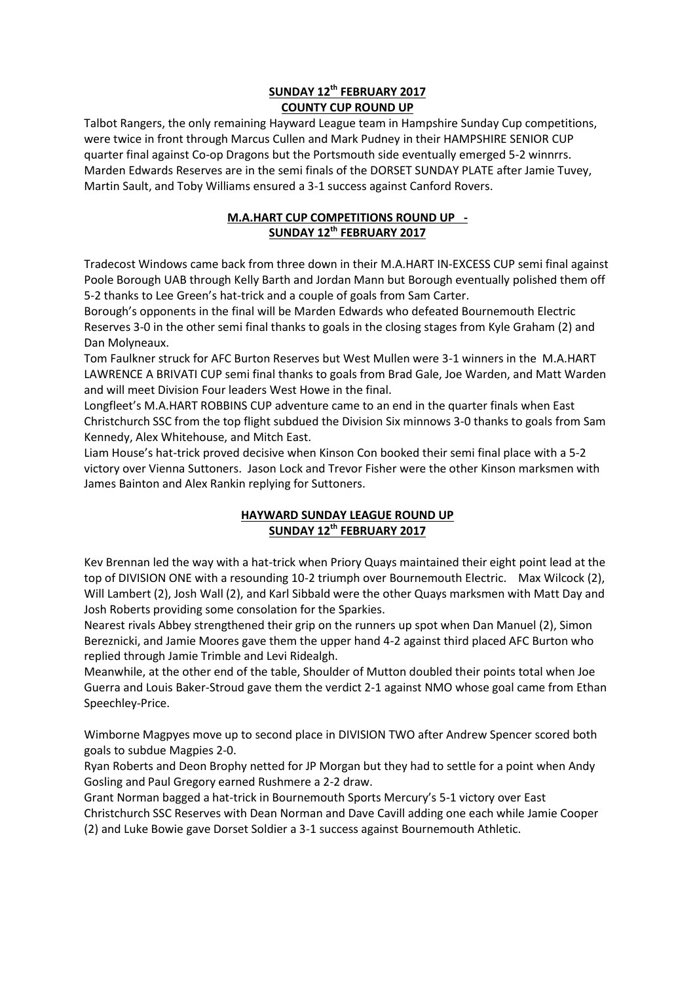## **SUNDAY 12th FEBRUARY 2017 COUNTY CUP ROUND UP**

Talbot Rangers, the only remaining Hayward League team in Hampshire Sunday Cup competitions, were twice in front through Marcus Cullen and Mark Pudney in their HAMPSHIRE SENIOR CUP quarter final against Co-op Dragons but the Portsmouth side eventually emerged 5-2 winnrrs. Marden Edwards Reserves are in the semi finals of the DORSET SUNDAY PLATE after Jamie Tuvey, Martin Sault, and Toby Williams ensured a 3-1 success against Canford Rovers.

## **M.A.HART CUP COMPETITIONS ROUND UP - SUNDAY 12th FEBRUARY 2017**

Tradecost Windows came back from three down in their M.A.HART IN-EXCESS CUP semi final against Poole Borough UAB through Kelly Barth and Jordan Mann but Borough eventually polished them off 5-2 thanks to Lee Green's hat-trick and a couple of goals from Sam Carter.

Borough's opponents in the final will be Marden Edwards who defeated Bournemouth Electric Reserves 3-0 in the other semi final thanks to goals in the closing stages from Kyle Graham (2) and Dan Molyneaux.

Tom Faulkner struck for AFC Burton Reserves but West Mullen were 3-1 winners in the M.A.HART LAWRENCE A BRIVATI CUP semi final thanks to goals from Brad Gale, Joe Warden, and Matt Warden and will meet Division Four leaders West Howe in the final.

Longfleet's M.A.HART ROBBINS CUP adventure came to an end in the quarter finals when East Christchurch SSC from the top flight subdued the Division Six minnows 3-0 thanks to goals from Sam Kennedy, Alex Whitehouse, and Mitch East.

Liam House's hat-trick proved decisive when Kinson Con booked their semi final place with a 5-2 victory over Vienna Suttoners. Jason Lock and Trevor Fisher were the other Kinson marksmen with James Bainton and Alex Rankin replying for Suttoners.

## **HAYWARD SUNDAY LEAGUE ROUND UP SUNDAY 12th FEBRUARY 2017**

Kev Brennan led the way with a hat-trick when Priory Quays maintained their eight point lead at the top of DIVISION ONE with a resounding 10-2 triumph over Bournemouth Electric. Max Wilcock (2), Will Lambert (2), Josh Wall (2), and Karl Sibbald were the other Quays marksmen with Matt Day and Josh Roberts providing some consolation for the Sparkies.

Nearest rivals Abbey strengthened their grip on the runners up spot when Dan Manuel (2), Simon Bereznicki, and Jamie Moores gave them the upper hand 4-2 against third placed AFC Burton who replied through Jamie Trimble and Levi Ridealgh.

Meanwhile, at the other end of the table, Shoulder of Mutton doubled their points total when Joe Guerra and Louis Baker-Stroud gave them the verdict 2-1 against NMO whose goal came from Ethan Speechley-Price.

Wimborne Magpyes move up to second place in DIVISION TWO after Andrew Spencer scored both goals to subdue Magpies 2-0.

Ryan Roberts and Deon Brophy netted for JP Morgan but they had to settle for a point when Andy Gosling and Paul Gregory earned Rushmere a 2-2 draw.

Grant Norman bagged a hat-trick in Bournemouth Sports Mercury's 5-1 victory over East Christchurch SSC Reserves with Dean Norman and Dave Cavill adding one each while Jamie Cooper (2) and Luke Bowie gave Dorset Soldier a 3-1 success against Bournemouth Athletic.